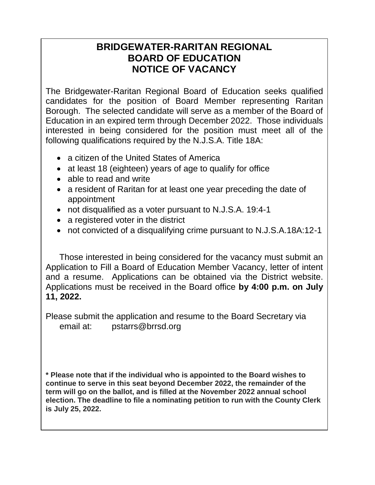## **BRIDGEWATER-RARITAN REGIONAL BOARD OF EDUCATION NOTICE OF VACANCY**

The Bridgewater-Raritan Regional Board of Education seeks qualified candidates for the position of Board Member representing Raritan Borough. The selected candidate will serve as a member of the Board of Education in an expired term through December 2022. Those individuals interested in being considered for the position must meet all of the following qualifications required by the N.J.S.A. Title 18A:

- a citizen of the United States of America
- at least 18 (eighteen) years of age to qualify for office
- able to read and write
- a resident of Raritan for at least one year preceding the date of appointment
- not disqualified as a voter pursuant to N.J.S.A. 19:4-1
- a registered voter in the district
- not convicted of a disqualifying crime pursuant to N.J.S.A.18A:12-1

Those interested in being considered for the vacancy must submit an Application to Fill a Board of Education Member Vacancy, letter of intent and a resume. Applications can be obtained via the District website. Applications must be received in the Board office **by 4:00 p.m. on July 11, 2022.**

Please submit the application and resume to the Board Secretary via email at: pstarrs@brrsd.org

**\* Please note that if the individual who is appointed to the Board wishes to continue to serve in this seat beyond December 2022, the remainder of the term will go on the ballot, and is filled at the November 2022 annual school election. The deadline to file a nominating petition to run with the County Clerk is July 25, 2022.**